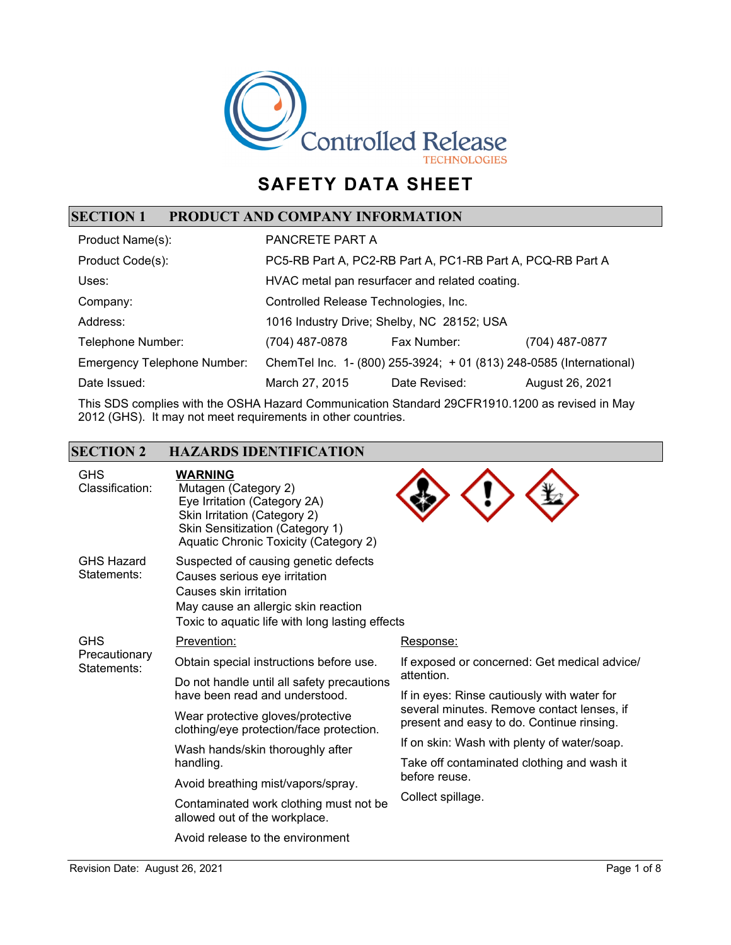

# **SAFETY DATA SHEET**

## **SECTION 1 PRODUCT AND COMPANY INFORMATION**

| Product Name(s):                   | PANCRETE PART A                                                     |               |                 |
|------------------------------------|---------------------------------------------------------------------|---------------|-----------------|
| Product Code(s):                   | PC5-RB Part A, PC2-RB Part A, PC1-RB Part A, PCQ-RB Part A          |               |                 |
| Uses:                              | HVAC metal pan resurfacer and related coating.                      |               |                 |
| Company:                           | Controlled Release Technologies, Inc.                               |               |                 |
| Address:                           | 1016 Industry Drive; Shelby, NC 28152; USA                          |               |                 |
| Telephone Number:                  | (704) 487-0878                                                      | Fax Number:   | (704) 487-0877  |
| <b>Emergency Telephone Number:</b> | ChemTel Inc. 1- (800) 255-3924; + 01 (813) 248-0585 (International) |               |                 |
| Date Issued:                       | March 27, 2015                                                      | Date Revised: | August 26, 2021 |

This SDS complies with the OSHA Hazard Communication Standard 29CFR1910.1200 as revised in May 2012 (GHS). It may not meet requirements in other countries.

#### **SECTION 2 HAZARDS IDENTIFICATION**

| <b>GHS</b><br>Classification:              | <b>WARNING</b><br>Mutagen (Category 2)<br>Eye Irritation (Category 2A)<br>Skin Irritation (Category 2)<br>Skin Sensitization (Category 1)<br>Aquatic Chronic Toxicity (Category 2)        |                                                                                         |
|--------------------------------------------|-------------------------------------------------------------------------------------------------------------------------------------------------------------------------------------------|-----------------------------------------------------------------------------------------|
| <b>GHS Hazard</b><br>Statements:           | Suspected of causing genetic defects<br>Causes serious eye irritation<br>Causes skin irritation<br>May cause an allergic skin reaction<br>Toxic to aquatic life with long lasting effects |                                                                                         |
| <b>GHS</b><br>Precautionary<br>Statements: | Prevention:                                                                                                                                                                               | Response:                                                                               |
|                                            | Obtain special instructions before use.                                                                                                                                                   | If exposed or concerned: Get medical advice/                                            |
|                                            | Do not handle until all safety precautions<br>have been read and understood.                                                                                                              | attention.<br>If in eyes: Rinse cautiously with water for                               |
|                                            | Wear protective gloves/protective<br>clothing/eye protection/face protection.                                                                                                             | several minutes. Remove contact lenses, if<br>present and easy to do. Continue rinsing. |
|                                            | Wash hands/skin thoroughly after<br>handling.                                                                                                                                             | If on skin: Wash with plenty of water/soap.                                             |
|                                            |                                                                                                                                                                                           | Take off contaminated clothing and wash it                                              |
|                                            | Avoid breathing mist/vapors/spray.                                                                                                                                                        | before reuse.                                                                           |
|                                            | Contaminated work clothing must not be<br>allowed out of the workplace.                                                                                                                   | Collect spillage.                                                                       |
|                                            | Avoid release to the environment                                                                                                                                                          |                                                                                         |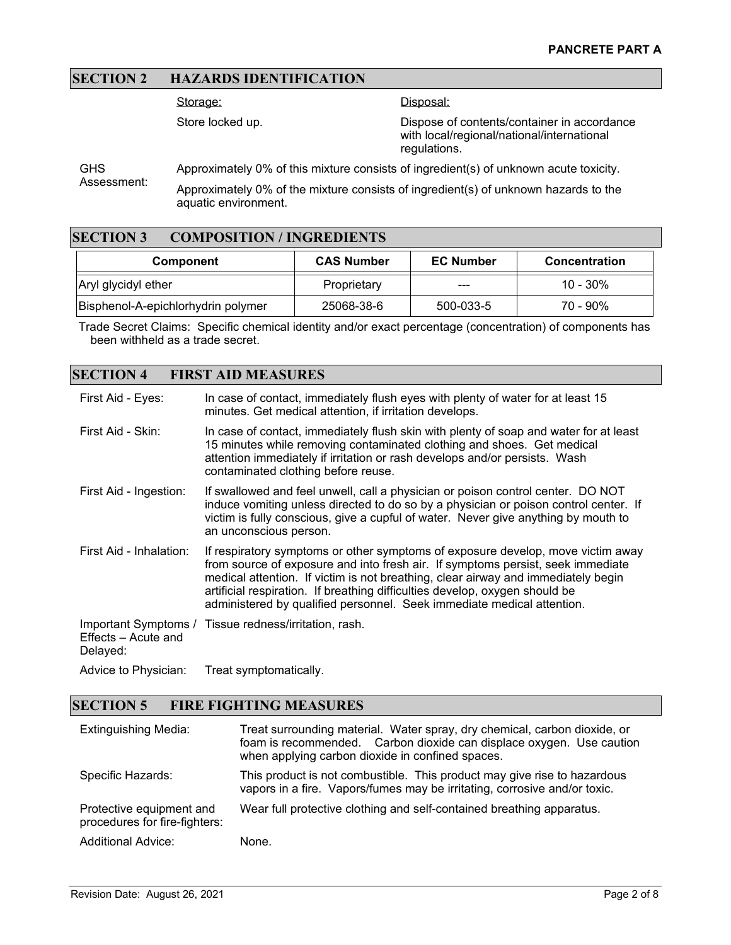#### **SECTION 2 HAZARDS IDENTIFICATION**

Storage:

Store locked up.

Disposal:

Dispose of contents/container in accordance with local/regional/national/international regulations.

GHS Assessment: Approximately 0% of this mixture consists of ingredient(s) of unknown acute toxicity. Approximately 0% of the mixture consists of ingredient(s) of unknown hazards to the aquatic environment.

#### **SECTION 3 COMPOSITION / INGREDIENTS**

| Component                          | <b>CAS Number</b> | <b>EC Number</b> | <b>Concentration</b> |
|------------------------------------|-------------------|------------------|----------------------|
| Aryl glycidyl ether                | Proprietary       | ---              | $10 - 30\%$          |
| Bisphenol-A-epichlorhydrin polymer | 25068-38-6        | 500-033-5        | 70 - 90%             |

Trade Secret Claims: Specific chemical identity and/or exact percentage (concentration) of components has been withheld as a trade secret.

#### **SECTION 4 FIRST AID MEASURES**

| First Aid - Eyes:               | In case of contact, immediately flush eyes with plenty of water for at least 15<br>minutes. Get medical attention, if irritation develops.                                                                                                                                                                                                                                                                       |
|---------------------------------|------------------------------------------------------------------------------------------------------------------------------------------------------------------------------------------------------------------------------------------------------------------------------------------------------------------------------------------------------------------------------------------------------------------|
| First Aid - Skin:               | In case of contact, immediately flush skin with plenty of soap and water for at least<br>15 minutes while removing contaminated clothing and shoes. Get medical<br>attention immediately if irritation or rash develops and/or persists. Wash<br>contaminated clothing before reuse.                                                                                                                             |
| First Aid - Ingestion:          | If swallowed and feel unwell, call a physician or poison control center. DO NOT<br>induce vomiting unless directed to do so by a physician or poison control center. If<br>victim is fully conscious, give a cupful of water. Never give anything by mouth to<br>an unconscious person.                                                                                                                          |
| First Aid - Inhalation:         | If respiratory symptoms or other symptoms of exposure develop, move victim away<br>from source of exposure and into fresh air. If symptoms persist, seek immediate<br>medical attention. If victim is not breathing, clear airway and immediately begin<br>artificial respiration. If breathing difficulties develop, oxygen should be<br>administered by qualified personnel. Seek immediate medical attention. |
| Effects – Acute and<br>Delayed: | Important Symptoms / Tissue redness/irritation, rash.                                                                                                                                                                                                                                                                                                                                                            |
| Advice to Physician:            | Treat symptomatically.                                                                                                                                                                                                                                                                                                                                                                                           |

#### **SECTION 5 FIRE FIGHTING MEASURES**

| <b>Extinguishing Media:</b>                               | Treat surrounding material. Water spray, dry chemical, carbon dioxide, or<br>foam is recommended. Carbon dioxide can displace oxygen. Use caution<br>when applying carbon dioxide in confined spaces. |
|-----------------------------------------------------------|-------------------------------------------------------------------------------------------------------------------------------------------------------------------------------------------------------|
| Specific Hazards:                                         | This product is not combustible. This product may give rise to hazardous<br>vapors in a fire. Vapors/fumes may be irritating, corrosive and/or toxic.                                                 |
| Protective equipment and<br>procedures for fire-fighters: | Wear full protective clothing and self-contained breathing apparatus.                                                                                                                                 |
| <b>Additional Advice:</b>                                 | None.                                                                                                                                                                                                 |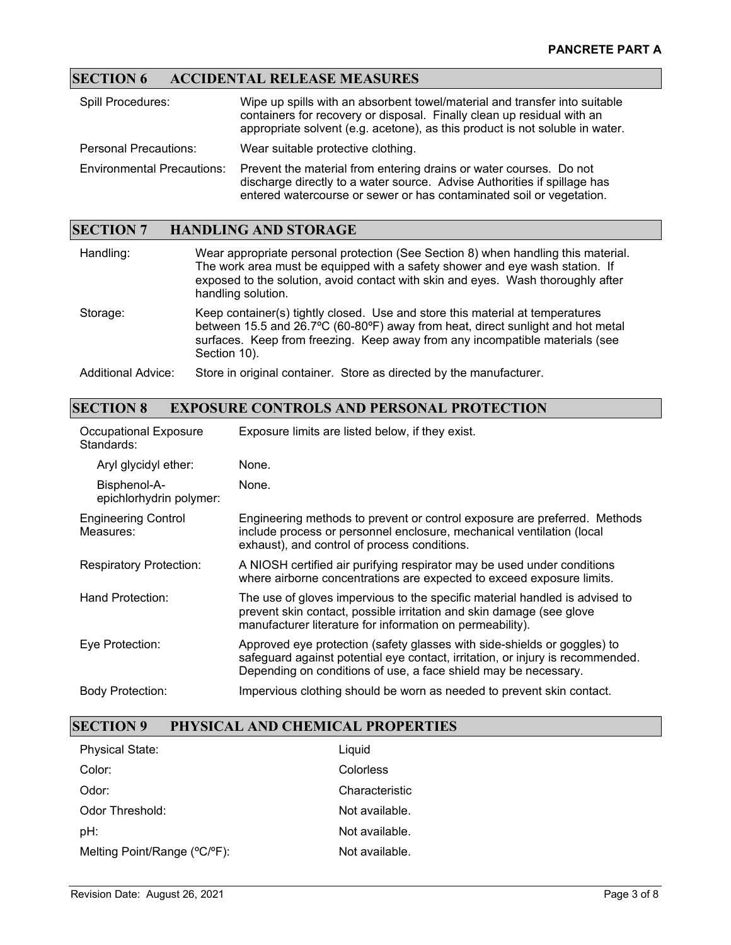## **SECTION 6 ACCIDENTAL RELEASE MEASURES**

| <b>Spill Procedures:</b>          | Wipe up spills with an absorbent towel/material and transfer into suitable<br>containers for recovery or disposal. Finally clean up residual with an<br>appropriate solvent (e.g. acetone), as this product is not soluble in water. |
|-----------------------------------|--------------------------------------------------------------------------------------------------------------------------------------------------------------------------------------------------------------------------------------|
| <b>Personal Precautions:</b>      | Wear suitable protective clothing.                                                                                                                                                                                                   |
| <b>Environmental Precautions:</b> | Prevent the material from entering drains or water courses. Do not<br>discharge directly to a water source. Advise Authorities if spillage has<br>entered watercourse or sewer or has contaminated soil or vegetation.               |

# **SECTION 7 HANDLING AND STORAGE**

| Handling:          | Wear appropriate personal protection (See Section 8) when handling this material.<br>The work area must be equipped with a safety shower and eye wash station. If<br>exposed to the solution, avoid contact with skin and eyes. Wash thoroughly after<br>handling solution. |
|--------------------|-----------------------------------------------------------------------------------------------------------------------------------------------------------------------------------------------------------------------------------------------------------------------------|
| Storage:           | Keep container(s) tightly closed. Use and store this material at temperatures<br>between 15.5 and 26.7°C (60-80°F) away from heat, direct sunlight and hot metal<br>surfaces. Keep from freezing. Keep away from any incompatible materials (see<br>Section 10).            |
| Additional Advice: | Store in original container. Store as directed by the manufacturer.                                                                                                                                                                                                         |

#### **SECTION 8 EXPOSURE CONTROLS AND PERSONAL PROTECTION**

| <b>Occupational Exposure</b><br>Standards: | Exposure limits are listed below, if they exist.                                                                                                                                                                              |
|--------------------------------------------|-------------------------------------------------------------------------------------------------------------------------------------------------------------------------------------------------------------------------------|
| Aryl glycidyl ether:                       | None.                                                                                                                                                                                                                         |
| Bisphenol-A-<br>epichlorhydrin polymer:    | None.                                                                                                                                                                                                                         |
| <b>Engineering Control</b><br>Measures:    | Engineering methods to prevent or control exposure are preferred. Methods<br>include process or personnel enclosure, mechanical ventilation (local<br>exhaust), and control of process conditions.                            |
| <b>Respiratory Protection:</b>             | A NIOSH certified air purifying respirator may be used under conditions<br>where airborne concentrations are expected to exceed exposure limits.                                                                              |
| Hand Protection:                           | The use of gloves impervious to the specific material handled is advised to<br>prevent skin contact, possible irritation and skin damage (see glove<br>manufacturer literature for information on permeability).              |
| Eye Protection:                            | Approved eye protection (safety glasses with side-shields or goggles) to<br>safeguard against potential eye contact, irritation, or injury is recommended.<br>Depending on conditions of use, a face shield may be necessary. |
| Body Protection:                           | Impervious clothing should be worn as needed to prevent skin contact.                                                                                                                                                         |

## **SECTION 9 PHYSICAL AND CHEMICAL PROPERTIES**

| <b>Physical State:</b>       | Liguid         |
|------------------------------|----------------|
| Color:                       | Colorless      |
| Odor:                        | Characteristic |
| Odor Threshold:              | Not available. |
| pH:                          | Not available. |
| Melting Point/Range (°C/°F): | Not available. |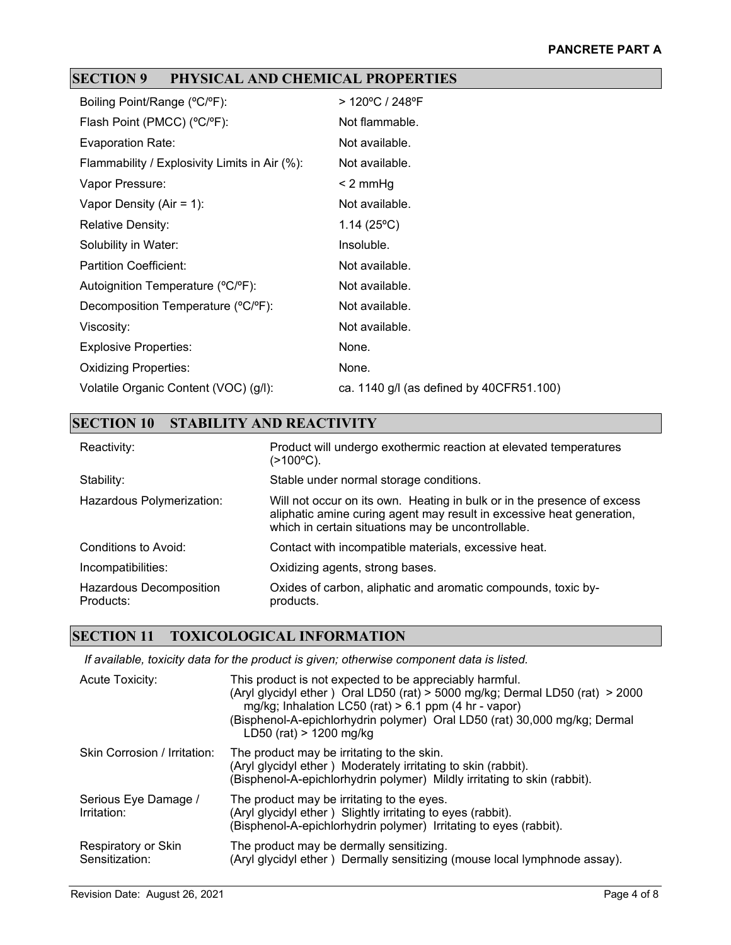## **SECTION 9 PHYSICAL AND CHEMICAL PROPERTIES**

| Boiling Point/Range (°C/°F):                  | > 120°C / 248°F                          |
|-----------------------------------------------|------------------------------------------|
| Flash Point (PMCC) (°C/°F):                   | Not flammable.                           |
| Evaporation Rate:                             | Not available.                           |
| Flammability / Explosivity Limits in Air (%): | Not available.                           |
| Vapor Pressure:                               | $< 2$ mmHg                               |
| Vapor Density (Air = 1):                      | Not available.                           |
| <b>Relative Density:</b>                      | 1.14 $(25^{\circ}C)$                     |
| Solubility in Water:                          | Insoluble.                               |
| <b>Partition Coefficient:</b>                 | Not available.                           |
| Autoignition Temperature (°C/°F):             | Not available.                           |
| Decomposition Temperature (°C/°F):            | Not available.                           |
| Viscosity:                                    | Not available.                           |
| <b>Explosive Properties:</b>                  | None.                                    |
| <b>Oxidizing Properties:</b>                  | None.                                    |
| Volatile Organic Content (VOC) (g/l):         | ca. 1140 g/l (as defined by 40CFR51.100) |

| <b>SECTION 10</b><br><b>STABILITY AND REACTIVITY</b> |                                                                                                                                                                                                        |  |
|------------------------------------------------------|--------------------------------------------------------------------------------------------------------------------------------------------------------------------------------------------------------|--|
| Reactivity:                                          | Product will undergo exothermic reaction at elevated temperatures<br>$(>100°C)$ .                                                                                                                      |  |
| Stability:                                           | Stable under normal storage conditions.                                                                                                                                                                |  |
| Hazardous Polymerization:                            | Will not occur on its own. Heating in bulk or in the presence of excess<br>aliphatic amine curing agent may result in excessive heat generation,<br>which in certain situations may be uncontrollable. |  |
| Conditions to Avoid:                                 | Contact with incompatible materials, excessive heat.                                                                                                                                                   |  |
| Incompatibilities:                                   | Oxidizing agents, strong bases.                                                                                                                                                                        |  |
| Hazardous Decomposition<br>Products:                 | Oxides of carbon, aliphatic and aromatic compounds, toxic by-<br>products.                                                                                                                             |  |

## **SECTION 11 TOXICOLOGICAL INFORMATION**

*If available, toxicity data for the product is given; otherwise component data is listed.*

| Acute Toxicity:                       | This product is not expected to be appreciably harmful.<br>(Aryl glycidyl ether) Oral LD50 (rat) > 5000 mg/kg; Dermal LD50 (rat) > 2000<br>mg/kg; Inhalation LC50 (rat) $> 6.1$ ppm (4 hr - vapor)<br>(Bisphenol-A-epichlorhydrin polymer) Oral LD50 (rat) 30,000 mg/kg; Dermal<br>LD50 (rat) > 1200 mg/kg |
|---------------------------------------|------------------------------------------------------------------------------------------------------------------------------------------------------------------------------------------------------------------------------------------------------------------------------------------------------------|
| Skin Corrosion / Irritation:          | The product may be irritating to the skin.<br>(Aryl glycidyl ether) Moderately irritating to skin (rabbit).<br>(Bisphenol-A-epichlorhydrin polymer) Mildly irritating to skin (rabbit).                                                                                                                    |
| Serious Eye Damage /<br>Irritation:   | The product may be irritating to the eyes.<br>(Aryl glycidyl ether) Slightly irritating to eyes (rabbit).<br>(Bisphenol-A-epichlorhydrin polymer) Irritating to eyes (rabbit).                                                                                                                             |
| Respiratory or Skin<br>Sensitization: | The product may be dermally sensitizing.<br>(Aryl glycidyl ether) Dermally sensitizing (mouse local lymphnode assay).                                                                                                                                                                                      |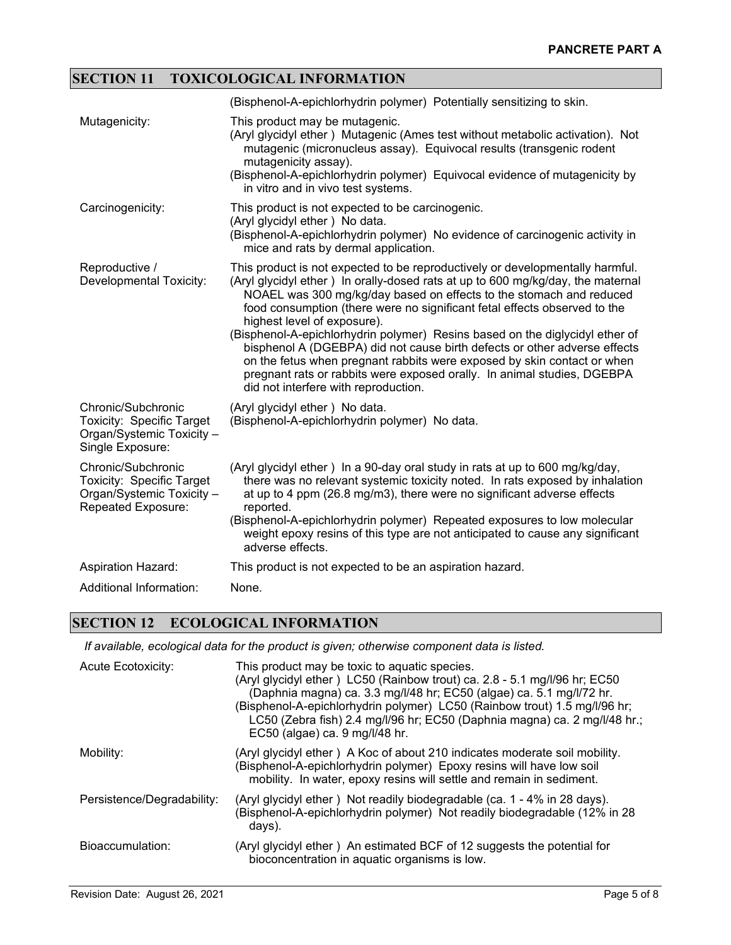## **SECTION 11 TOXICOLOGICAL INFORMATION**

|                                                                                                           | (Bisphenol-A-epichlorhydrin polymer) Potentially sensitizing to skin.                                                                                                                                                                                                                                                                                                                                                                                                                                                                                                                                                                                                                                          |
|-----------------------------------------------------------------------------------------------------------|----------------------------------------------------------------------------------------------------------------------------------------------------------------------------------------------------------------------------------------------------------------------------------------------------------------------------------------------------------------------------------------------------------------------------------------------------------------------------------------------------------------------------------------------------------------------------------------------------------------------------------------------------------------------------------------------------------------|
| Mutagenicity:                                                                                             | This product may be mutagenic.<br>(Aryl glycidyl ether) Mutagenic (Ames test without metabolic activation). Not<br>mutagenic (micronucleus assay). Equivocal results (transgenic rodent<br>mutagenicity assay).<br>(Bisphenol-A-epichlorhydrin polymer) Equivocal evidence of mutagenicity by<br>in vitro and in vivo test systems.                                                                                                                                                                                                                                                                                                                                                                            |
| Carcinogenicity:                                                                                          | This product is not expected to be carcinogenic.<br>(Aryl glycidyl ether) No data.<br>(Bisphenol-A-epichlorhydrin polymer) No evidence of carcinogenic activity in<br>mice and rats by dermal application.                                                                                                                                                                                                                                                                                                                                                                                                                                                                                                     |
| Reproductive /<br><b>Developmental Toxicity:</b>                                                          | This product is not expected to be reproductively or developmentally harmful.<br>(Aryl glycidyl ether) In orally-dosed rats at up to 600 mg/kg/day, the maternal<br>NOAEL was 300 mg/kg/day based on effects to the stomach and reduced<br>food consumption (there were no significant fetal effects observed to the<br>highest level of exposure).<br>(Bisphenol-A-epichlorhydrin polymer) Resins based on the diglycidyl ether of<br>bisphenol A (DGEBPA) did not cause birth defects or other adverse effects<br>on the fetus when pregnant rabbits were exposed by skin contact or when<br>pregnant rats or rabbits were exposed orally. In animal studies, DGEBPA<br>did not interfere with reproduction. |
| Chronic/Subchronic<br>Toxicity: Specific Target<br>Organ/Systemic Toxicity -<br>Single Exposure:          | (Aryl glycidyl ether) No data.<br>(Bisphenol-A-epichlorhydrin polymer) No data.                                                                                                                                                                                                                                                                                                                                                                                                                                                                                                                                                                                                                                |
| Chronic/Subchronic<br><b>Toxicity: Specific Target</b><br>Organ/Systemic Toxicity -<br>Repeated Exposure: | (Aryl glycidyl ether) In a 90-day oral study in rats at up to 600 mg/kg/day,<br>there was no relevant systemic toxicity noted. In rats exposed by inhalation<br>at up to 4 ppm (26.8 mg/m3), there were no significant adverse effects<br>reported.<br>(Bisphenol-A-epichlorhydrin polymer) Repeated exposures to low molecular<br>weight epoxy resins of this type are not anticipated to cause any significant<br>adverse effects.                                                                                                                                                                                                                                                                           |
| <b>Aspiration Hazard:</b>                                                                                 | This product is not expected to be an aspiration hazard.                                                                                                                                                                                                                                                                                                                                                                                                                                                                                                                                                                                                                                                       |
| Additional Information:                                                                                   | None.                                                                                                                                                                                                                                                                                                                                                                                                                                                                                                                                                                                                                                                                                                          |

#### **SECTION 12 ECOLOGICAL INFORMATION**

*If available, ecological data for the product is given; otherwise component data is listed.*

| <b>Acute Ecotoxicity:</b>  | This product may be toxic to aquatic species.<br>(Aryl glycidyl ether) LC50 (Rainbow trout) ca. 2.8 - 5.1 mg/l/96 hr; EC50<br>(Daphnia magna) ca. 3.3 mg/l/48 hr; EC50 (algae) ca. 5.1 mg/l/72 hr.<br>(Bisphenol-A-epichlorhydrin polymer) LC50 (Rainbow trout) 1.5 mg/l/96 hr;<br>LC50 (Zebra fish) 2.4 mg/l/96 hr; EC50 (Daphnia magna) ca. 2 mg/l/48 hr.;<br>EC50 (algae) ca. 9 mg/l/48 hr. |
|----------------------------|------------------------------------------------------------------------------------------------------------------------------------------------------------------------------------------------------------------------------------------------------------------------------------------------------------------------------------------------------------------------------------------------|
| Mobility:                  | (Aryl glycidyl ether) A Koc of about 210 indicates moderate soil mobility.<br>(Bisphenol-A-epichlorhydrin polymer) Epoxy resins will have low soil<br>mobility. In water, epoxy resins will settle and remain in sediment.                                                                                                                                                                     |
| Persistence/Degradability: | (Aryl glycidyl ether) Not readily biodegradable (ca. 1 - 4% in 28 days).<br>(Bisphenol-A-epichlorhydrin polymer) Not readily biodegradable (12% in 28<br>days).                                                                                                                                                                                                                                |
| Bioaccumulation:           | (Aryl glycidyl ether) An estimated BCF of 12 suggests the potential for<br>bioconcentration in aquatic organisms is low.                                                                                                                                                                                                                                                                       |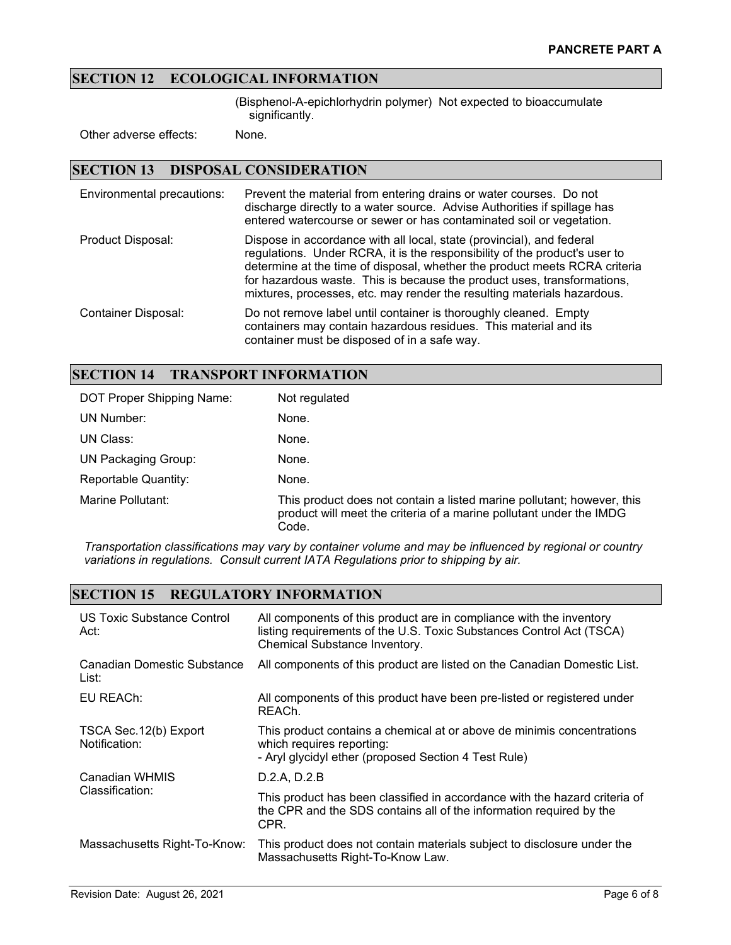#### **SECTION 12 ECOLOGICAL INFORMATION**

(Bisphenol-A-epichlorhydrin polymer) Not expected to bioaccumulate significantly.

Other adverse effects: None.

#### **SECTION 13 DISPOSAL CONSIDERATION**

| Environmental precautions: | Prevent the material from entering drains or water courses. Do not<br>discharge directly to a water source. Advise Authorities if spillage has<br>entered watercourse or sewer or has contaminated soil or vegetation.                                                                                                                                                                  |
|----------------------------|-----------------------------------------------------------------------------------------------------------------------------------------------------------------------------------------------------------------------------------------------------------------------------------------------------------------------------------------------------------------------------------------|
| Product Disposal:          | Dispose in accordance with all local, state (provincial), and federal<br>regulations. Under RCRA, it is the responsibility of the product's user to<br>determine at the time of disposal, whether the product meets RCRA criteria<br>for hazardous waste. This is because the product uses, transformations,<br>mixtures, processes, etc. may render the resulting materials hazardous. |
| <b>Container Disposal:</b> | Do not remove label until container is thoroughly cleaned. Empty<br>containers may contain hazardous residues. This material and its<br>container must be disposed of in a safe way.                                                                                                                                                                                                    |

#### **SECTION 14 TRANSPORT INFORMATION**

| DOT Proper Shipping Name:  | Not regulated                                                                                                                                          |
|----------------------------|--------------------------------------------------------------------------------------------------------------------------------------------------------|
| UN Number:                 | None.                                                                                                                                                  |
| UN Class:                  | None.                                                                                                                                                  |
| <b>UN Packaging Group:</b> | None.                                                                                                                                                  |
| Reportable Quantity:       | None.                                                                                                                                                  |
| Marine Pollutant:          | This product does not contain a listed marine pollutant; however, this<br>product will meet the criteria of a marine pollutant under the IMDG<br>Code. |

*Transportation classifications may vary by container volume and may be influenced by regional or country variations in regulations. Consult current IATA Regulations prior to shipping by air.*

## **SECTION 15 REGULATORY INFORMATION**

| US Toxic Substance Control<br>Act:      | All components of this product are in compliance with the inventory<br>listing requirements of the U.S. Toxic Substances Control Act (TSCA)<br>Chemical Substance Inventory. |
|-----------------------------------------|------------------------------------------------------------------------------------------------------------------------------------------------------------------------------|
| Canadian Domestic Substance<br>List:    | All components of this product are listed on the Canadian Domestic List.                                                                                                     |
| EU REACh:                               | All components of this product have been pre-listed or registered under<br>REACh.                                                                                            |
| TSCA Sec. 12(b) Export<br>Notification: | This product contains a chemical at or above de minimis concentrations<br>which requires reporting:<br>- Aryl glycidyl ether (proposed Section 4 Test Rule)                  |
| Canadian WHMIS<br>Classification:       | D.2.A, D.2.B                                                                                                                                                                 |
|                                         | This product has been classified in accordance with the hazard criteria of<br>the CPR and the SDS contains all of the information required by the<br>CPR.                    |
| Massachusetts Right-To-Know:            | This product does not contain materials subject to disclosure under the<br>Massachusetts Right-To-Know Law.                                                                  |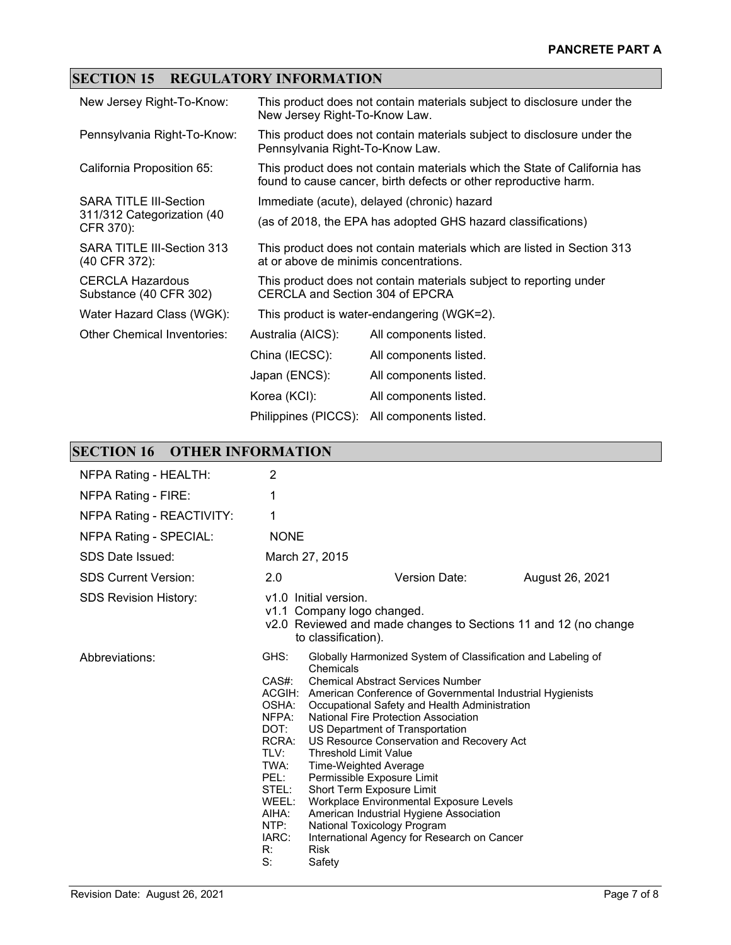## **SECTION 15 REGULATORY INFORMATION**

| New Jersey Right-To-Know:                                                | This product does not contain materials subject to disclosure under the<br>New Jersey Right-To-Know Law.                                      |                                            |  |
|--------------------------------------------------------------------------|-----------------------------------------------------------------------------------------------------------------------------------------------|--------------------------------------------|--|
| Pennsylvania Right-To-Know:                                              | This product does not contain materials subject to disclosure under the<br>Pennsylvania Right-To-Know Law.                                    |                                            |  |
| California Proposition 65:                                               | This product does not contain materials which the State of California has<br>found to cause cancer, birth defects or other reproductive harm. |                                            |  |
| <b>SARA TITLE III-Section</b><br>311/312 Categorization (40<br>CFR 370): | Immediate (acute), delayed (chronic) hazard                                                                                                   |                                            |  |
|                                                                          | (as of 2018, the EPA has adopted GHS hazard classifications)                                                                                  |                                            |  |
| SARA TITLE III-Section 313<br>(40 CFR 372):                              | This product does not contain materials which are listed in Section 313<br>at or above de minimis concentrations.                             |                                            |  |
| <b>CERCLA Hazardous</b><br>Substance (40 CFR 302)                        | This product does not contain materials subject to reporting under<br>CERCLA and Section 304 of EPCRA                                         |                                            |  |
| Water Hazard Class (WGK):                                                |                                                                                                                                               | This product is water-endangering (WGK=2). |  |
| <b>Other Chemical Inventories:</b>                                       | Australia (AICS):                                                                                                                             | All components listed.                     |  |
|                                                                          | China (IECSC):                                                                                                                                | All components listed.                     |  |
|                                                                          | Japan (ENCS):                                                                                                                                 | All components listed.                     |  |
|                                                                          | Korea (KCI):                                                                                                                                  | All components listed.                     |  |
|                                                                          | Philippines (PICCS):                                                                                                                          | All components listed.                     |  |

### **SECTION 16 OTHER INFORMATION**

| NFPA Rating - HEALTH:        | 2                                                                                                                                   |                                                                                                                                                                                                                                                                                                                                                                |                                                                                                                                                                                                                                                                                                                          |                                                                 |
|------------------------------|-------------------------------------------------------------------------------------------------------------------------------------|----------------------------------------------------------------------------------------------------------------------------------------------------------------------------------------------------------------------------------------------------------------------------------------------------------------------------------------------------------------|--------------------------------------------------------------------------------------------------------------------------------------------------------------------------------------------------------------------------------------------------------------------------------------------------------------------------|-----------------------------------------------------------------|
| NFPA Rating - FIRE:          | 1                                                                                                                                   |                                                                                                                                                                                                                                                                                                                                                                |                                                                                                                                                                                                                                                                                                                          |                                                                 |
| NFPA Rating - REACTIVITY:    | 1                                                                                                                                   |                                                                                                                                                                                                                                                                                                                                                                |                                                                                                                                                                                                                                                                                                                          |                                                                 |
| NFPA Rating - SPECIAL:       | <b>NONE</b>                                                                                                                         |                                                                                                                                                                                                                                                                                                                                                                |                                                                                                                                                                                                                                                                                                                          |                                                                 |
| SDS Date Issued:             |                                                                                                                                     | March 27, 2015                                                                                                                                                                                                                                                                                                                                                 |                                                                                                                                                                                                                                                                                                                          |                                                                 |
| <b>SDS Current Version:</b>  | 2.0                                                                                                                                 |                                                                                                                                                                                                                                                                                                                                                                | Version Date:                                                                                                                                                                                                                                                                                                            | August 26, 2021                                                 |
| <b>SDS Revision History:</b> |                                                                                                                                     | v1.0 Initial version.<br>v1.1 Company logo changed.<br>to classification).                                                                                                                                                                                                                                                                                     |                                                                                                                                                                                                                                                                                                                          | v2.0 Reviewed and made changes to Sections 11 and 12 (no change |
| Abbreviations:               | GHS:<br>$CAS#$ :<br>OSHA:<br>NFPA:<br>DOT:<br>RCRA:<br>TLV:<br>TWA:<br>PEL:<br>STEL:<br>WEEL:<br>AIHA:<br>NTP:<br>IARC:<br>R:<br>S: | Chemicals<br><b>Chemical Abstract Services Number</b><br><b>National Fire Protection Association</b><br>US Department of Transportation<br><b>Threshold Limit Value</b><br>Time-Weighted Average<br>Permissible Exposure Limit<br>Short Term Exposure Limit<br>American Industrial Hygiene Association<br>National Toxicology Program<br><b>Risk</b><br>Safety | Globally Harmonized System of Classification and Labeling of<br>ACGIH: American Conference of Governmental Industrial Hygienists<br>Occupational Safety and Health Administration<br>US Resource Conservation and Recovery Act<br>Workplace Environmental Exposure Levels<br>International Agency for Research on Cancer |                                                                 |